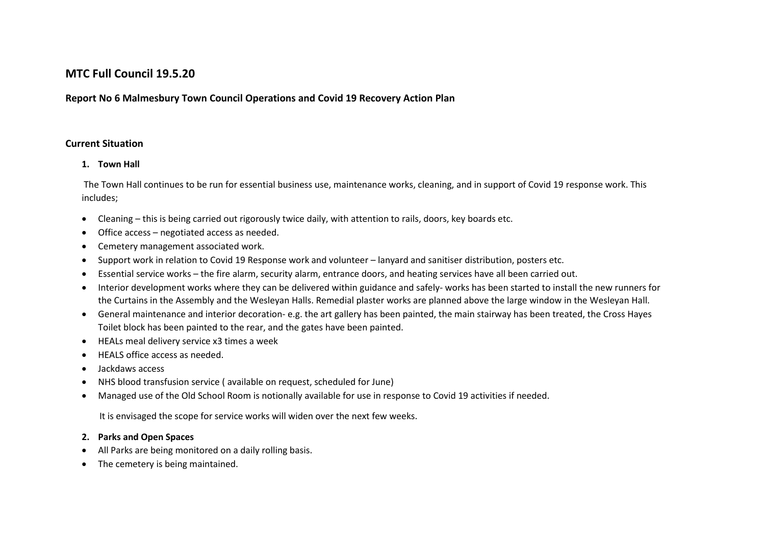# **MTC Full Council 19.5.20**

# **Report No 6 Malmesbury Town Council Operations and Covid 19 Recovery Action Plan**

#### **Current Situation**

#### **1. Town Hall**

The Town Hall continues to be run for essential business use, maintenance works, cleaning, and in support of Covid 19 response work. This includes;

- Cleaning this is being carried out rigorously twice daily, with attention to rails, doors, key boards etc.
- Office access negotiated access as needed.
- Cemetery management associated work.
- Support work in relation to Covid 19 Response work and volunteer lanyard and sanitiser distribution, posters etc.
- Essential service works the fire alarm, security alarm, entrance doors, and heating services have all been carried out.
- Interior development works where they can be delivered within guidance and safely- works has been started to install the new runners for the Curtains in the Assembly and the Wesleyan Halls. Remedial plaster works are planned above the large window in the Wesleyan Hall.
- General maintenance and interior decoration- e.g. the art gallery has been painted, the main stairway has been treated, the Cross Hayes Toilet block has been painted to the rear, and the gates have been painted.
- HEALs meal delivery service x3 times a week
- HEALS office access as needed.
- Jackdaws access
- NHS blood transfusion service ( available on request, scheduled for June)
- Managed use of the Old School Room is notionally available for use in response to Covid 19 activities if needed.

It is envisaged the scope for service works will widen over the next few weeks.

### **2. Parks and Open Spaces**

- All Parks are being monitored on a daily rolling basis.
- The cemetery is being maintained.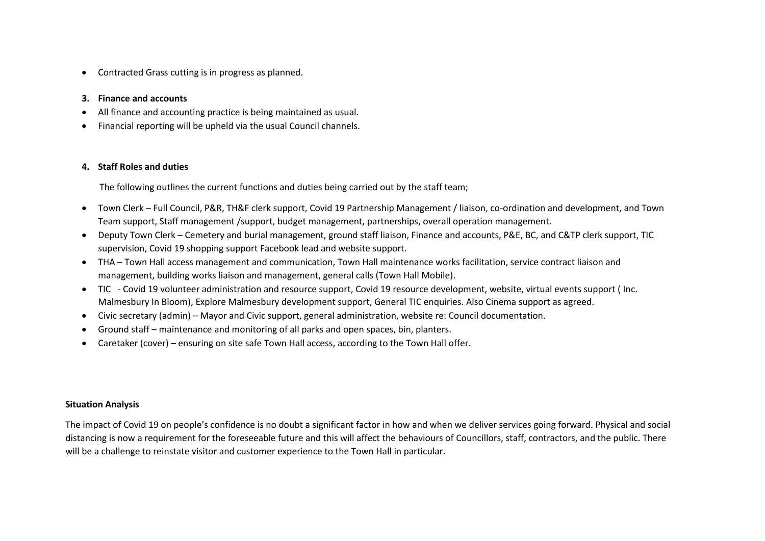Contracted Grass cutting is in progress as planned.

#### **3. Finance and accounts**

- All finance and accounting practice is being maintained as usual.
- Financial reporting will be upheld via the usual Council channels.

#### **4. Staff Roles and duties**

The following outlines the current functions and duties being carried out by the staff team;

- Town Clerk Full Council, P&R, TH&F clerk support, Covid 19 Partnership Management / liaison, co-ordination and development, and Town Team support, Staff management /support, budget management, partnerships, overall operation management.
- Deputy Town Clerk Cemetery and burial management, ground staff liaison, Finance and accounts, P&E, BC, and C&TP clerk support, TIC supervision, Covid 19 shopping support Facebook lead and website support.
- THA Town Hall access management and communication, Town Hall maintenance works facilitation, service contract liaison and management, building works liaison and management, general calls (Town Hall Mobile).
- TIC Covid 19 volunteer administration and resource support, Covid 19 resource development, website, virtual events support ( Inc. Malmesbury In Bloom), Explore Malmesbury development support, General TIC enquiries. Also Cinema support as agreed.
- Civic secretary (admin) Mayor and Civic support, general administration, website re: Council documentation.
- Ground staff maintenance and monitoring of all parks and open spaces, bin, planters.
- Caretaker (cover) ensuring on site safe Town Hall access, according to the Town Hall offer.

#### **Situation Analysis**

The impact of Covid 19 on people's confidence is no doubt a significant factor in how and when we deliver services going forward. Physical and social distancing is now a requirement for the foreseeable future and this will affect the behaviours of Councillors, staff, contractors, and the public. There will be a challenge to reinstate visitor and customer experience to the Town Hall in particular.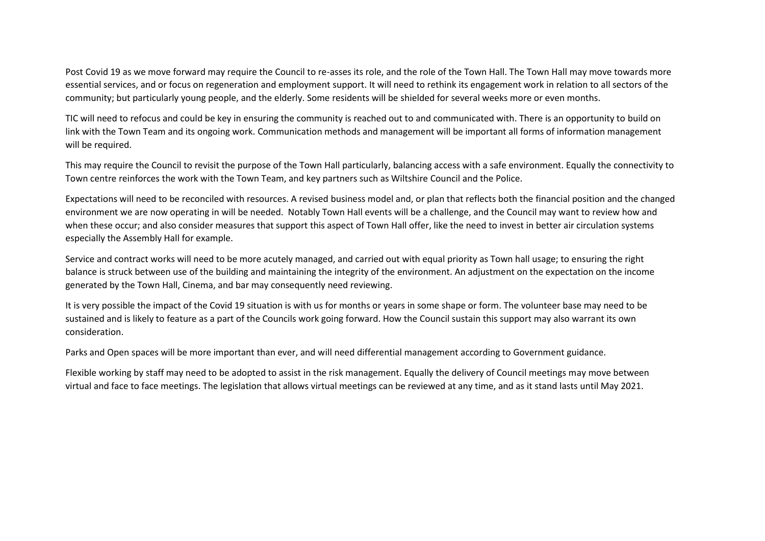Post Covid 19 as we move forward may require the Council to re-asses its role, and the role of the Town Hall. The Town Hall may move towards more essential services, and or focus on regeneration and employment support. It will need to rethink its engagement work in relation to all sectors of the community; but particularly young people, and the elderly. Some residents will be shielded for several weeks more or even months.

TIC will need to refocus and could be key in ensuring the community is reached out to and communicated with. There is an opportunity to build on link with the Town Team and its ongoing work. Communication methods and management will be important all forms of information management will be required.

This may require the Council to revisit the purpose of the Town Hall particularly, balancing access with a safe environment. Equally the connectivity to Town centre reinforces the work with the Town Team, and key partners such as Wiltshire Council and the Police.

Expectations will need to be reconciled with resources. A revised business model and, or plan that reflects both the financial position and the changed environment we are now operating in will be needed. Notably Town Hall events will be a challenge, and the Council may want to review how and when these occur; and also consider measures that support this aspect of Town Hall offer, like the need to invest in better air circulation systems especially the Assembly Hall for example.

Service and contract works will need to be more acutely managed, and carried out with equal priority as Town hall usage; to ensuring the right balance is struck between use of the building and maintaining the integrity of the environment. An adjustment on the expectation on the income generated by the Town Hall, Cinema, and bar may consequently need reviewing.

It is very possible the impact of the Covid 19 situation is with us for months or years in some shape or form. The volunteer base may need to be sustained and is likely to feature as a part of the Councils work going forward. How the Council sustain this support may also warrant its own consideration.

Parks and Open spaces will be more important than ever, and will need differential management according to Government guidance.

Flexible working by staff may need to be adopted to assist in the risk management. Equally the delivery of Council meetings may move between virtual and face to face meetings. The legislation that allows virtual meetings can be reviewed at any time, and as it stand lasts until May 2021.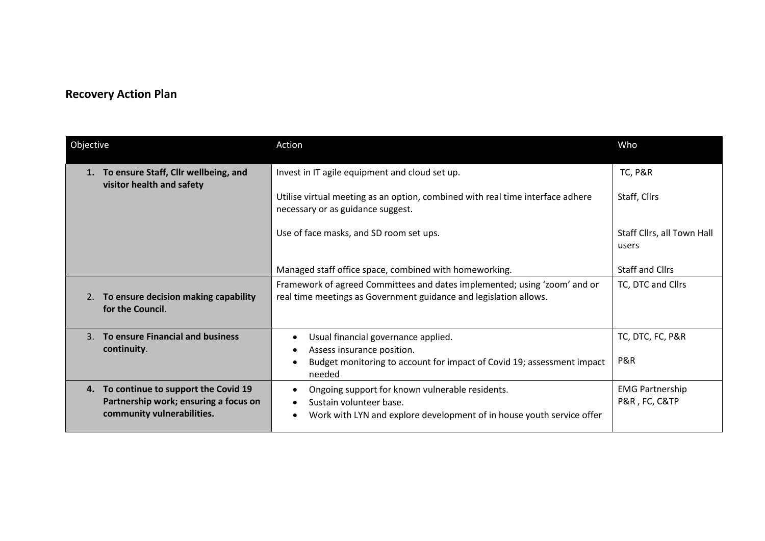# **Recovery Action Plan**

| Objective      |                                                                                                               | Action                                                                                                                                              | Who                                     |
|----------------|---------------------------------------------------------------------------------------------------------------|-----------------------------------------------------------------------------------------------------------------------------------------------------|-----------------------------------------|
|                | To ensure Staff, Cllr wellbeing, and<br>visitor health and safety                                             | Invest in IT agile equipment and cloud set up.                                                                                                      | <b>TC, P&amp;R</b>                      |
|                |                                                                                                               | Utilise virtual meeting as an option, combined with real time interface adhere<br>necessary or as guidance suggest.                                 | Staff, Cllrs                            |
|                |                                                                                                               | Use of face masks, and SD room set ups.                                                                                                             | Staff Cllrs, all Town Hall<br>users     |
|                |                                                                                                               | Managed staff office space, combined with homeworking.                                                                                              | <b>Staff and Cllrs</b>                  |
| 2.             | To ensure decision making capability<br>for the Council.                                                      | Framework of agreed Committees and dates implemented; using 'zoom' and or<br>real time meetings as Government guidance and legislation allows.      | TC, DTC and Cllrs                       |
| $\mathbf{3}$ . | To ensure Financial and business<br>continuity.                                                               | Usual financial governance applied.<br>Assess insurance position.                                                                                   | TC, DTC, FC, P&R                        |
|                |                                                                                                               | Budget monitoring to account for impact of Covid 19; assessment impact<br>needed                                                                    | P&R                                     |
|                | 4. To continue to support the Covid 19<br>Partnership work; ensuring a focus on<br>community vulnerabilities. | Ongoing support for known vulnerable residents.<br>Sustain volunteer base.<br>Work with LYN and explore development of in house youth service offer | <b>EMG Partnership</b><br>P&R, FC, C&TP |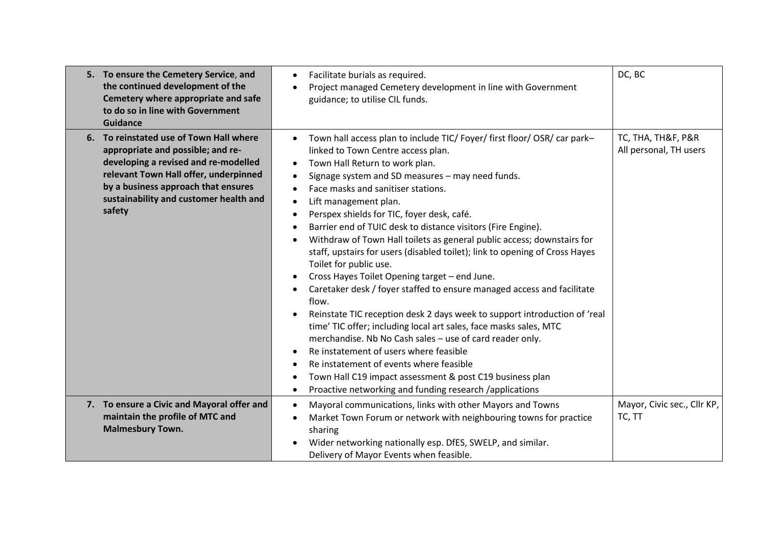| 5. To ensure the Cemetery Service, and<br>the continued development of the<br>Cemetery where appropriate and safe<br>to do so in line with Government<br><b>Guidance</b>                                                                                 | Facilitate burials as required.<br>$\bullet$<br>Project managed Cemetery development in line with Government<br>guidance; to utilise CIL funds.                                                                                                                                                                                                                                                                                                                                                                                                                                                                                                                                                                                                                                                                                                                                                                                                                                                                                                                                                                                                              | DC, BC                                       |
|----------------------------------------------------------------------------------------------------------------------------------------------------------------------------------------------------------------------------------------------------------|--------------------------------------------------------------------------------------------------------------------------------------------------------------------------------------------------------------------------------------------------------------------------------------------------------------------------------------------------------------------------------------------------------------------------------------------------------------------------------------------------------------------------------------------------------------------------------------------------------------------------------------------------------------------------------------------------------------------------------------------------------------------------------------------------------------------------------------------------------------------------------------------------------------------------------------------------------------------------------------------------------------------------------------------------------------------------------------------------------------------------------------------------------------|----------------------------------------------|
| 6. To reinstated use of Town Hall where<br>appropriate and possible; and re-<br>developing a revised and re-modelled<br>relevant Town Hall offer, underpinned<br>by a business approach that ensures<br>sustainability and customer health and<br>safety | Town hall access plan to include TIC/ Foyer/ first floor/ OSR/ car park-<br>$\bullet$<br>linked to Town Centre access plan.<br>Town Hall Return to work plan.<br>Signage system and SD measures - may need funds.<br>Face masks and sanitiser stations.<br>Lift management plan.<br>$\bullet$<br>Perspex shields for TIC, foyer desk, café.<br>Barrier end of TUIC desk to distance visitors (Fire Engine).<br>Withdraw of Town Hall toilets as general public access; downstairs for<br>staff, upstairs for users (disabled toilet); link to opening of Cross Hayes<br>Toilet for public use.<br>Cross Hayes Toilet Opening target - end June.<br>Caretaker desk / foyer staffed to ensure managed access and facilitate<br>flow.<br>Reinstate TIC reception desk 2 days week to support introduction of 'real<br>time' TIC offer; including local art sales, face masks sales, MTC<br>merchandise. Nb No Cash sales - use of card reader only.<br>Re instatement of users where feasible<br>Re instatement of events where feasible<br>Town Hall C19 impact assessment & post C19 business plan<br>Proactive networking and funding research /applications | TC, THA, TH&F, P&R<br>All personal, TH users |
| 7. To ensure a Civic and Mayoral offer and<br>maintain the profile of MTC and<br><b>Malmesbury Town.</b>                                                                                                                                                 | Mayoral communications, links with other Mayors and Towns<br>$\bullet$<br>Market Town Forum or network with neighbouring towns for practice<br>٠<br>sharing<br>Wider networking nationally esp. DfES, SWELP, and similar.<br>Delivery of Mayor Events when feasible.                                                                                                                                                                                                                                                                                                                                                                                                                                                                                                                                                                                                                                                                                                                                                                                                                                                                                         | Mayor, Civic sec., Cllr KP,<br>TC, TT        |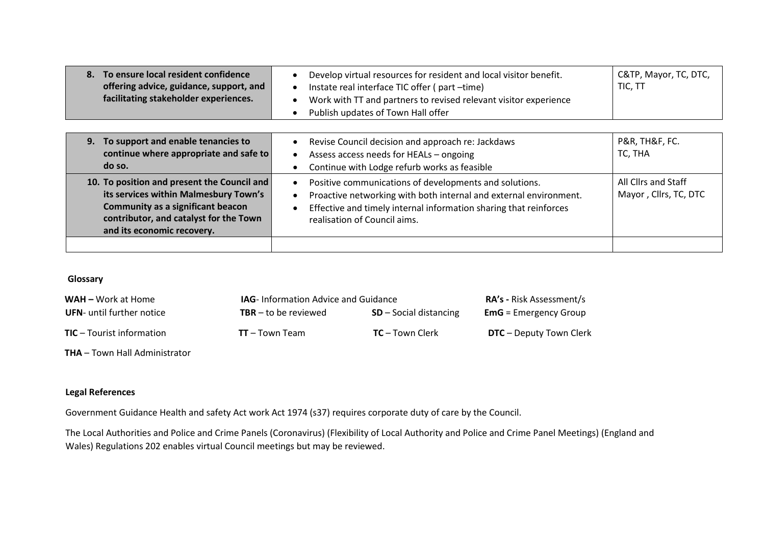| To ensure local resident confidence<br>8.<br>offering advice, guidance, support, and<br>facilitating stakeholder experiences.                                                                            | Develop virtual resources for resident and local visitor benefit.<br>Instate real interface TIC offer (part-time)<br>Work with TT and partners to revised relevant visitor experience<br>Publish updates of Town Hall offer      | C&TP, Mayor, TC, DTC,<br>TIC, TT             |
|----------------------------------------------------------------------------------------------------------------------------------------------------------------------------------------------------------|----------------------------------------------------------------------------------------------------------------------------------------------------------------------------------------------------------------------------------|----------------------------------------------|
| 9. To support and enable tenancies to<br>continue where appropriate and safe to<br>do so.                                                                                                                | Revise Council decision and approach re: Jackdaws<br>Assess access needs for HEALs - ongoing<br>Continue with Lodge refurb works as feasible                                                                                     | P&R, TH&F, FC.<br>TC, THA                    |
| 10. To position and present the Council and<br>its services within Malmesbury Town's<br><b>Community as a significant beacon</b><br>contributor, and catalyst for the Town<br>and its economic recovery. | Positive communications of developments and solutions.<br>Proactive networking with both internal and external environment.<br>Effective and timely internal information sharing that reinforces<br>realisation of Council aims. | All Cllrs and Staff<br>Mayor, Cllrs, TC, DTC |

#### **Glossary**

| <b>WAH</b> – Work at Home        | <b>IAG</b> - Information Advice and Guidance |                          | <b>RA's - Risk Assessment/s</b> |
|----------------------------------|----------------------------------------------|--------------------------|---------------------------------|
| <b>UFN-</b> until further notice | <b>TBR</b> – to be reviewed                  | $SD - Social$ distancing | <b>EmG</b> = Emergency Group    |
| <b>TIC</b> – Tourist information | $TT - Town Team$                             | $TC$ – Town Clerk        | <b>DTC</b> – Deputy Town Clerk  |

**THA** – Town Hall Administrator

# **Legal References**

Government Guidance Health and safety Act work Act 1974 (s37) requires corporate duty of care by the Council.

The Local Authorities and Police and Crime Panels (Coronavirus) (Flexibility of Local Authority and Police and Crime Panel Meetings) (England and Wales) Regulations 202 enables virtual Council meetings but may be reviewed.